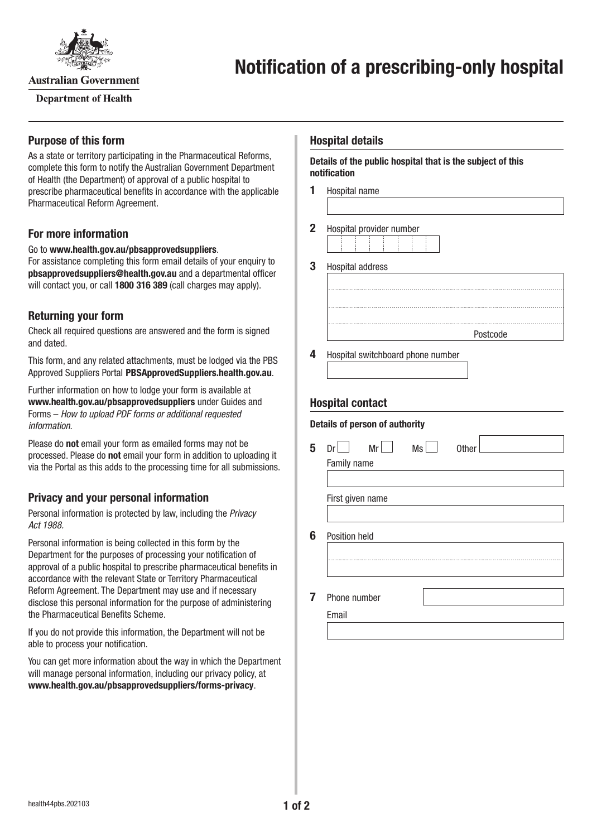

**Australian Government** 

**Department of Health** 

## **Purpose of this form**

As a state or territory participating in the Pharmaceutical Reforms, complete this form to notify the Australian Government Department of Health (the Department) of approval of a public hospital to prescribe pharmaceutical benefits in accordance with the applicable Pharmaceutical Reform Agreement.

## **For more information**

Go to **[www.health.gov.au/pbsapprovedsuppliers](http://www.health.gov.au/pbsapprovedsuppliers)**.

For assistance completing this form email details of your enquiry to **[pbsapprovedsuppliers@health.gov.au](mailto:pbsapprovedsuppliers@health.gov.au)** and a departmental officer will contact you, or call **1800 316 389** (call charges may apply).

## **Returning your form**

Check all required questions are answered and the form is signed and dated.

This form, and any related attachments, must be lodged via the PBS Approved Suppliers Portal [PBSApprovedSuppliers.health.gov.au](https://pbsapprovedsuppliers.health.gov.au/).

Further information on how to lodge your form is available at **[www.health.gov.au/pbsapprovedsuppliers](http://www.health.gov.au/pbsapprovedsuppliers)** under Guides and Forms – *How to upload PDF forms or additional requested information*.

Please do **not** email your form as emailed forms may not be processed. Please do **not** email your form in addition to uploading it via the Portal as this adds to the processing time for all submissions.

## **Privacy and your personal information**

Personal information is protected by law, including the *Privacy Act 1988.*

Personal information is being collected in this form by the Department for the purposes of processing your notification of approval of a public hospital to prescribe pharmaceutical benefits in accordance with the relevant State or Territory Pharmaceutical Reform Agreement. The Department may use and if necessary disclose this personal information for the purpose of administering the Pharmaceutical Benefits Scheme.

If you do not provide this information, the Department will not be able to process your notification.

You can get more information about the way in which the Department will manage personal information, including our privacy policy, at **[www.health.gov.au/pbsapprovedsuppliers/forms-privacy](http://www.health.gov.au/pbsapprovedsuppliers/forms-privacy)**.

### **Hospital details**

**Details of the public hospital that is the subject of this notification**

Postcode

- **1** Hospital name
- **2** Hospital provider number

**4** Hospital switchboard phone number

**5** Dr Mr Ms Other

**3** Hospital address

**Hospital contact**

Family name

**6** Position held

**7** Phone number Email

First given name

**Details of person of authority**